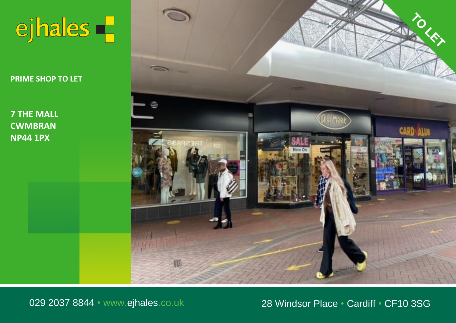

**PRIME SHOP TO LET PRIME SHOP TO LET PRIME SHOP TO LET**

**7 The Mall 7 THE MALL Cwmbran 7 THE MALL CWMBRAN NP44 1PX CWMBRAN NP44 1PX**



029 2037 8844 • www.ejhales.co.uk 28 Windsor Place • Cardiff • CF10 3SG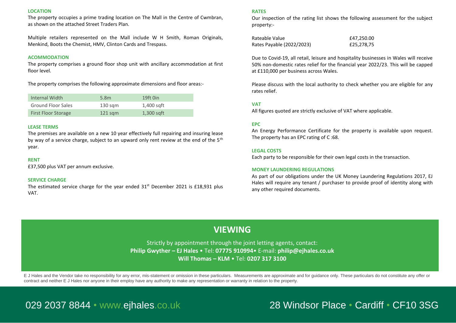#### **LOCATION**

The property occupies a prime trading location on The Mall in the Centre of Cwmbran, as shown on the attached Street Traders Plan.

Multiple retailers represented on the Mall include W H Smith, Roman Originals, Menkind, Boots the Chemist, HMV, Clinton Cards and Trespass.

#### **ACOMMODATION**

The property comprises a ground floor shop unit with ancillary accommodation at first floor level.

The property comprises the following approximate dimensions and floor areas:-

| Internal Width             | 5.8m               | 19ft 0in     |
|----------------------------|--------------------|--------------|
| <b>Ground Floor Sales</b>  | $130 \text{ s}$ gm | 1,400 sqft   |
| <b>First Floor Storage</b> | $121$ sam          | $1,300$ sqft |

#### **LEASE TERMS**

The premises are available on a new 10 year effectively full repairing and insuring lease by way of a service charge, subject to an upward only rent review at the end of the  $5<sup>th</sup>$ year.

#### **RENT**

£37,500 plus VAT per annum exclusive.

#### **SERVICE CHARGE**

The estimated service charge for the year ended  $31<sup>st</sup>$  December 2021 is £18,931 plus VAT.

### **RATES**

Our inspection of the rating list shows the following assessment for the subject property:-

Rateable Value **E47,250.00** Rates Payable (2022/2023) £25,278,75

Due to Covid-19, all retail, leisure and hospitality businesses in Wales will receive 50% non-domestic rates relief for the financial year 2022/23. This will be capped at £110,000 per business across Wales.

Please discuss with the local authority to check whether you are eligible for any rates relief.

### **VAT**

All figures quoted are strictly exclusive of VAT where applicable.

#### **EPC**

An Energy Performance Certificate for the property is available upon request. The property has an EPC rating of C :68.

#### **LEGAL COSTS**

Each party to be responsible for their own legal costs in the transaction.

#### **MONEY LAUNDERING REGULATIONS**

As part of our obligations under the UK Money Laundering Regulations 2017, EJ Hales will require any tenant / purchaser to provide proof of identity along with any other required documents.

## **VIEWING**

Strictly by appointment through the joint letting agents, contact: **Philip Gwyther – EJ Hales** • Tel: **07775 910994**• E-mail: **philip@ejhales.co.uk Will Thomas – KLM** • Tel: **0207 317 3100** 

E J Hales and the Vendor take no responsibility for any error, mis-statement or omission in these particulars. Measurements are approximate and for quidance only. These particulars do not constitute any offer or contract and neither E J Hales nor anyone in their employ have any authority to make any representation or warranty in relation to the property.

# 029 2037 8844 • www.ejhales.co.uk .co.uk .co.uk 28 Windsor Place • Cardiff • CF10 3SG